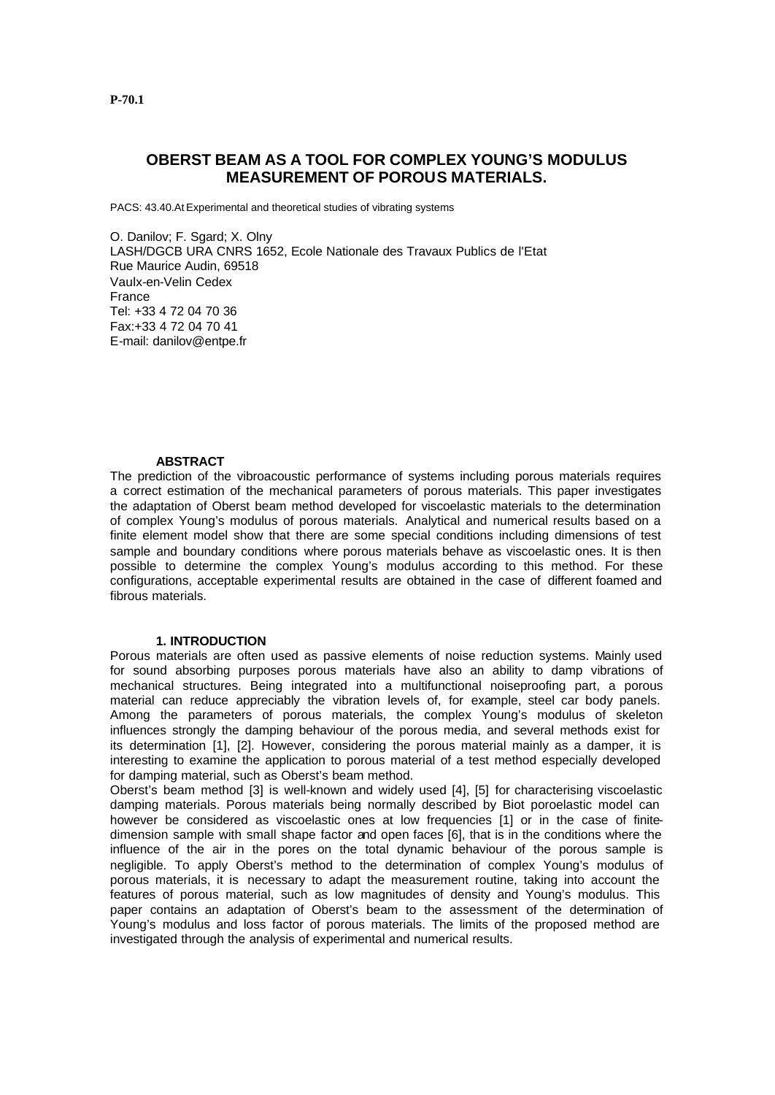# **OBERST BEAM AS A TOOL FOR COMPLEX YOUNG'S MODULUS MEASUREMENT OF POROUS MATERIALS.**

PACS: 43.40.At Experimental and theoretical studies of vibrating systems

O. Danilov; F. Sgard; X. Olny LASH/DGCB URA CNRS 1652, Ecole Nationale des Travaux Publics de l'Etat Rue Maurice Audin, 69518 Vaulx-en-Velin Cedex France Tel: +33 4 72 04 70 36 Fax:+33 4 72 04 70 41 E-mail: danilov@entpe.fr

## **ABSTRACT**

The prediction of the vibroacoustic performance of systems including porous materials requires a correct estimation of the mechanical parameters of porous materials. This paper investigates the adaptation of Oberst beam method developed for viscoelastic materials to the determination of complex Young's modulus of porous materials. Analytical and numerical results based on a finite element model show that there are some special conditions including dimensions of test sample and boundary conditions where porous materials behave as viscoelastic ones. It is then possible to determine the complex Young's modulus according to this method. For these configurations, acceptable experimental results are obtained in the case of different foamed and fibrous materials.

#### **1. INTRODUCTION**

Porous materials are often used as passive elements of noise reduction systems. Mainly used for sound absorbing purposes porous materials have also an ability to damp vibrations of mechanical structures. Being integrated into a multifunctional noiseproofing part, a porous material can reduce appreciably the vibration levels of, for example, steel car body panels. Among the parameters of porous materials, the complex Young's modulus of skeleton influences strongly the damping behaviour of the porous media, and several methods exist for its determination [1], [2]. However, considering the porous material mainly as a damper, it is interesting to examine the application to porous material of a test method especially developed for damping material, such as Oberst's beam method.

Oberst's beam method [3] is well-known and widely used [4], [5] for characterising viscoelastic damping materials. Porous materials being normally described by Biot poroelastic model can however be considered as viscoelastic ones at low frequencies [1] or in the case of finitedimension sample with small shape factor and open faces [6], that is in the conditions where the influence of the air in the pores on the total dynamic behaviour of the porous sample is negligible. To apply Oberst's method to the determination of complex Young's modulus of porous materials, it is necessary to adapt the measurement routine, taking into account the features of porous material, such as low magnitudes of density and Young's modulus. This paper contains an adaptation of Oberst's beam to the assessment of the determination of Young's modulus and loss factor of porous materials. The limits of the proposed method are investigated through the analysis of experimental and numerical results.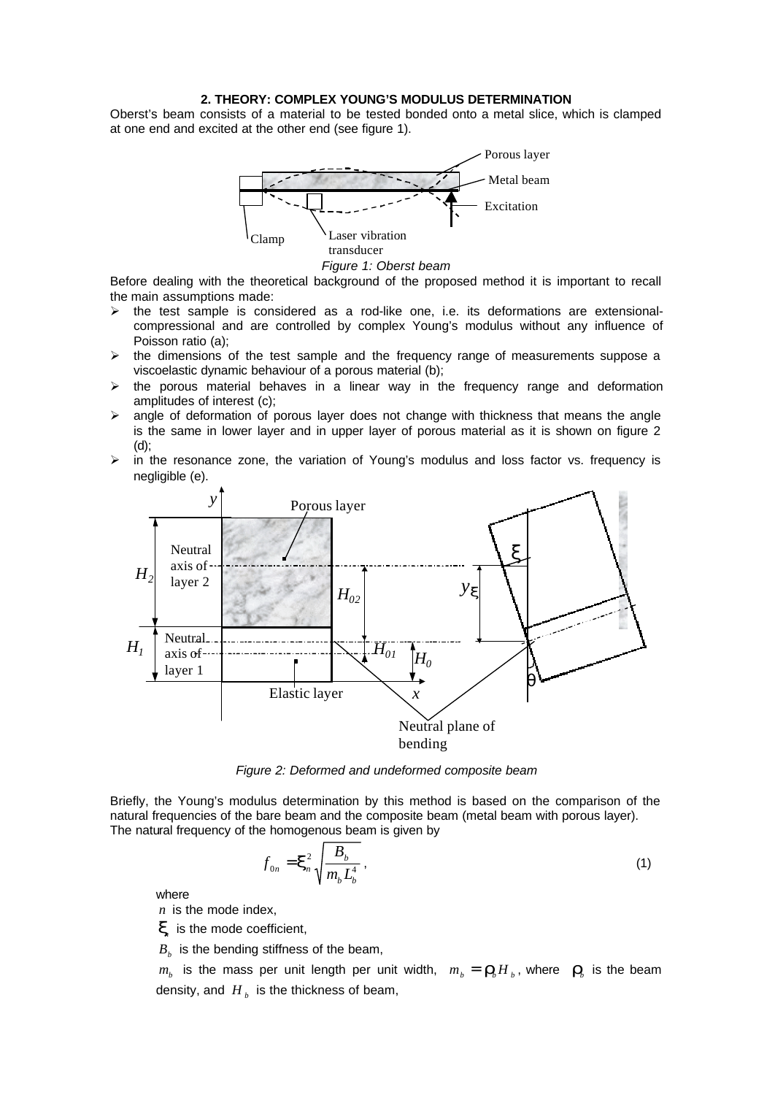### **2. THEORY: COMPLEX YOUNG'S MODULUS DETERMINATION**

Oberst's beam consists of a material to be tested bonded onto a metal slice, which is clamped at one end and excited at the other end (see figure 1).



*Figure 1: Oberst beam*

Before dealing with the theoretical background of the proposed method it is important to recall the main assumptions made:

- $\triangleright$  the test sample is considered as a rod-like one, i.e. its deformations are extensionalcompressional and are controlled by complex Young's modulus without any influence of Poisson ratio (a);
- $\triangleright$  the dimensions of the test sample and the frequency range of measurements suppose a viscoelastic dynamic behaviour of a porous material (b);
- $\triangleright$  the porous material behaves in a linear way in the frequency range and deformation amplitudes of interest (c);
- $\ge$  angle of deformation of porous layer does not change with thickness that means the angle is the same in lower layer and in upper layer of porous material as it is shown on figure 2 (d);
- $\triangleright$  in the resonance zone, the variation of Young's modulus and loss factor vs. frequency is negligible (e).



*Figure 2: Deformed and undeformed composite beam*

Briefly, the Young's modulus determination by this method is based on the comparison of the natural frequencies of the bare beam and the composite beam (metal beam with porous layer). The natural frequency of the homogenous beam is given by

$$
f_{0n} = \mathbf{x}_n^2 \sqrt{\frac{B_b}{m_b L_b^4}},\tag{1}
$$

where

*n* is the mode index,

*xn* is the mode coefficient,

 $B_b$  is the bending stiffness of the beam,

 $m_b$  is the mass per unit length per unit width,  $m_b = \mathbf{r}_b H_b$ , where  $\mathbf{r}_b$  is the beam density, and  $H$ <sub>b</sub> is the thickness of beam,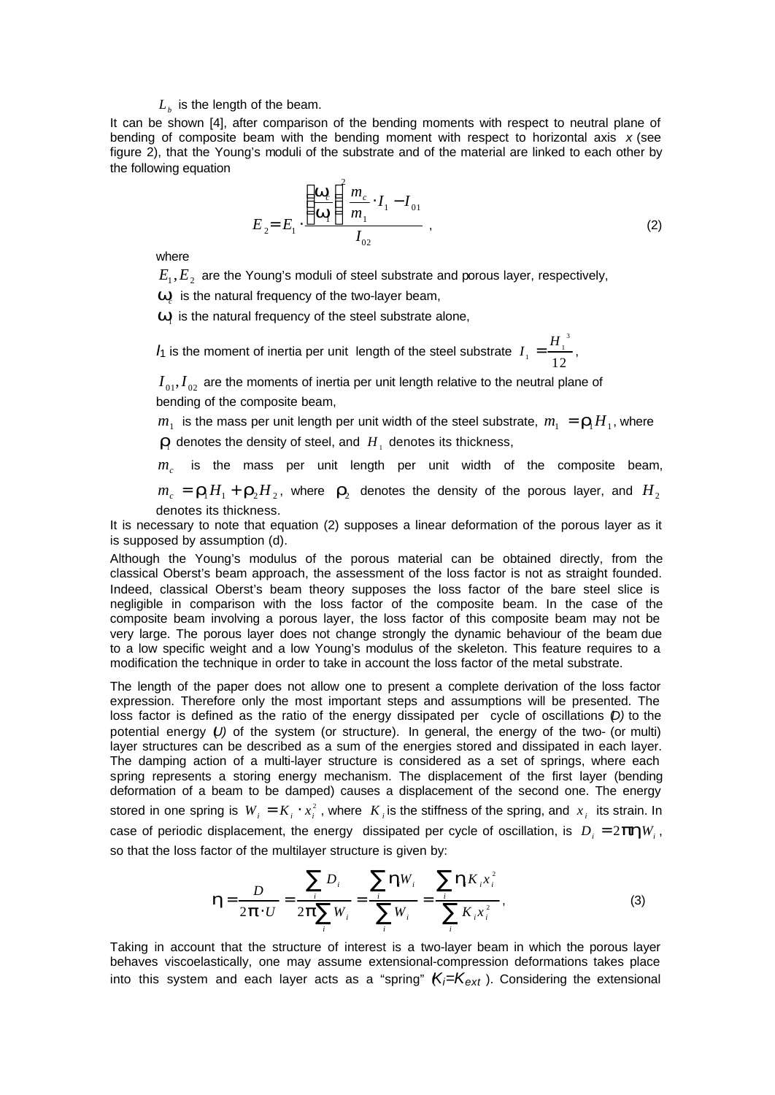## $L_{\scriptscriptstyle b}$  is the length of the beam.

It can be shown [4], after comparison of the bending moments with respect to neutral plane of bending of composite beam with the bending moment with respect to horizontal axis *x* (see figure 2), that the Young's moduli of the substrate and of the material are linked to each other by the following equation

$$
E_{2} = E_{1} \cdot \frac{\left(\frac{\mathbf{W}_{c}}{\mathbf{W}_{1}}\right)^{2} m_{c}}{I_{02}} \cdot I_{1} - I_{01}
$$
\n(2)

where

 $E_1, E_2$  are the Young's moduli of steel substrate and porous layer, respectively,

 $W_c$  is the natural frequency of the two-layer beam,

 $W<sub>1</sub>$  is the natural frequency of the steel substrate alone,

*I*<sub>1</sub> is the moment of inertia per unit length of the steel substrate  $I_1 = \frac{H}{I_1}$  $_1 = \frac{14}{10}$ 3 12  $=$  $\frac{H_1}{H_2}$ ,

 $I_{01}$ ,  $I_{02}$  are the moments of inertia per unit length relative to the neutral plane of bending of the composite beam,

 $m_{_1}$  is the mass per unit length per unit width of the steel substrate,  $m_{_1} = \bm{r}_{_{1}}H_{_1}$ , where  $\mathbf{r}_1$  denotes the density of steel, and  $H_1$  denotes its thickness,

 $m_c$  is the mass per unit length per unit width of the composite beam,

 $m_c = \bm{r}_1 H_1 + \bm{r}_2 H_2$ , where  $\bm{r}_2$  denotes the density of the porous layer, and  $H_2$ denotes its thickness.

It is necessary to note that equation (2) supposes a linear deformation of the porous layer as it is supposed by assumption (d).

Although the Young's modulus of the porous material can be obtained directly, from the classical Oberst's beam approach, the assessment of the loss factor is not as straight founded. Indeed, classical Oberst's beam theory supposes the loss factor of the bare steel slice is negligible in comparison with the loss factor of the composite beam. In the case of the composite beam involving a porous layer, the loss factor of this composite beam may not be very large. The porous layer does not change strongly the dynamic behaviour of the beam due to a low specific weight and a low Young's modulus of the skeleton. This feature requires to a modification the technique in order to take in account the loss factor of the metal substrate.

The length of the paper does not allow one to present a complete derivation of the loss factor expression. Therefore only the most important steps and assumptions will be presented. The loss factor is defined as the ratio of the energy dissipated per cycle of oscillations (*D)* to the potential energy (*U*) of the system (or structure). In general, the energy of the two- (or multi) layer structures can be described as a sum of the energies stored and dissipated in each layer. The damping action of a multi-layer structure is considered as a set of springs, where each spring represents a storing energy mechanism. The displacement of the first layer (bending deformation of a beam to be damped) causes a displacement of the second one. The energy stored in one spring is  $W_i = K_i \cdot x_i^2$ , where  $K_i$  is the stiffness of the spring, and  $x_i$  its strain. In case of periodic displacement, the energy dissipated per cycle of oscillation, is  $D_i = 2$   $phW_i$ , so that the loss factor of the multilayer structure is given by:

$$
\mathbf{h} = \frac{D}{2\mathbf{p} \cdot U} = \frac{\sum_{i} D_{i}}{2\mathbf{p} \sum_{i} W_{i}} = \frac{\sum_{i} \mathbf{h} W_{i}}{\sum_{i} W_{i}} = \frac{\sum_{i} \mathbf{h} K_{i} x_{i}^{2}}{\sum_{i} K_{i} x_{i}^{2}},
$$
(3)

Taking in account that the structure of interest is a two-layer beam in which the porous layer behaves viscoelastically, one may assume extensional-compression deformations takes place into this system and each layer acts as a "spring"  $K_i=K_{ext}$ ). Considering the extensional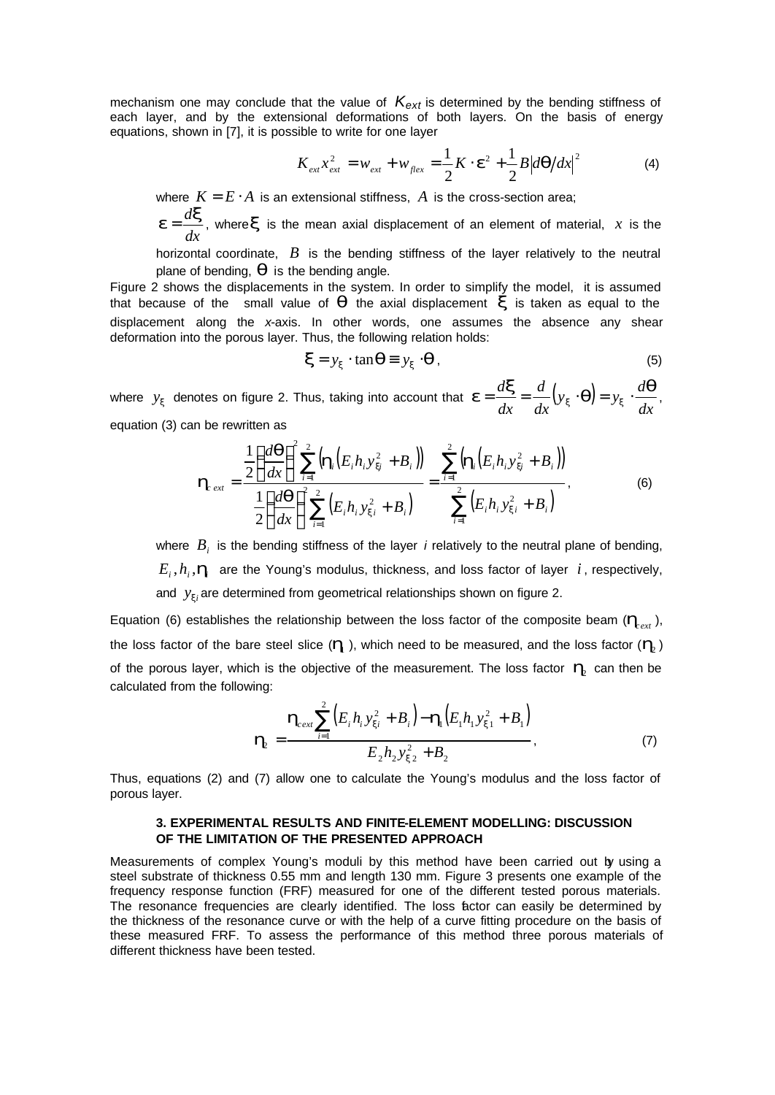mechanism one may conclude that the value of *Kext* is determined by the bending stiffness of each layer, and by the extensional deformations of both layers. On the basis of energy equations, shown in [7], it is possible to write for one layer

$$
K_{ext} x_{ext}^2 = w_{ext} + w_{flex} = \frac{1}{2} K \cdot \mathbf{e}^2 + \frac{1}{2} B |d\mathbf{q}/dx|^2
$$
 (4)

where  $K = E \cdot A$  is an extensional stiffness,  $A$  is the cross-section area;

*dx*  $e = \frac{d\mathbf{x}}{dt}$ , where *x* is the mean axial displacement of an element of material, *x* is the

horizontal coordinate, *B* is the bending stiffness of the layer relatively to the neutral plane of bending, *q* is the bending angle.

Figure 2 shows the displacements in the system. In order to simplify the model, it is assumed that because of the small value of  $q$  the axial displacement  $x$  is taken as equal to the displacement along the *x*-axis. In other words, one assumes the absence any shear deformation into the porous layer. Thus, the following relation holds:

$$
\mathbf{x} = y_{\mathbf{x}} \cdot \tan \mathbf{q} \equiv y_{\mathbf{x}} \cdot \mathbf{q} \,,\tag{5}
$$

where  $y_x$  denotes on figure 2. Thus, taking into account that  $\boldsymbol{e} = \frac{d\mathbf{x}}{dt} = \frac{d}{dt}(y_x \cdot \boldsymbol{q})$ *dx*  $(y_x \cdot q) = y_x \cdot \frac{d}{dx}$ *dx d dx*  $\boldsymbol{e} = \frac{d\boldsymbol{x}}{dt} = \frac{d}{dt} (y_x \cdot \boldsymbol{q}) = y_x \cdot \frac{d\boldsymbol{q}}{dt},$ equation (3) can be rewritten as

$$
\mathbf{h}_{ext} = \frac{\frac{1}{2} \left( \frac{d\mathbf{q}}{dx} \right)^2 \sum_{i=1}^2 \left( \mathbf{h}_i \left( E_i h_i y_{xi}^2 + B_i \right) \right)}{\frac{1}{2} \left( \frac{d\mathbf{q}}{dx} \right)^2 \sum_{i=1}^2 \left( E_i h_i y_{xi}^2 + B_i \right)} = \frac{\sum_{i=1}^2 \left( \mathbf{h}_i \left( E_i h_i y_{xi}^2 + B_i \right) \right)}{\sum_{i=1}^2 \left( E_i h_i y_{xi}^2 + B_i \right)},
$$
(6)

where *B<sup>i</sup>* is the bending stiffness of the layer *i* relatively to the neutral plane of bending,  $E_i$ ,  $h_i$ ,  $\bm{h}_i$  are the Young's modulus, thickness, and loss factor of layer  $i$ , respectively, and  $y_{xi}$  are determined from geometrical relationships shown on figure 2.

Equation (6) establishes the relationship between the loss factor of the composite beam  $(\bm{h}_{ext})$ , the loss factor of the bare steel slice ( $\bm{l}$ <sub>1</sub>), which need to be measured, and the loss factor ( $\bm{l}_2$ ) of the porous layer, which is the objective of the measurement. The loss factor  $\bm{h}_{\!\scriptscriptstyle 2}$  can then be calculated from the following:

$$
\mathbf{h}_{2} = \frac{\mathbf{h}_{\text{text}} \sum_{i=1}^{2} (E_{i} h_{i} y_{xi}^{2} + B_{i}) - \mathbf{h}_{i} (E_{1} h_{1} y_{xi1}^{2} + B_{1})}{E_{2} h_{2} y_{xi2}^{2} + B_{2}},
$$
(7)

Thus, equations (2) and (7) allow one to calculate the Young's modulus and the loss factor of porous layer.

### **3. EXPERIMENTAL RESULTS AND FINITE-ELEMENT MODELLING: DISCUSSION OF THE LIMITATION OF THE PRESENTED APPROACH**

Measurements of complex Young's moduli by this method have been carried out by using a steel substrate of thickness 0.55 mm and length 130 mm. Figure 3 presents one example of the frequency response function (FRF) measured for one of the different tested porous materials. The resonance frequencies are clearly identified. The loss factor can easily be determined by the thickness of the resonance curve or with the help of a curve fitting procedure on the basis of these measured FRF. To assess the performance of this method three porous materials of different thickness have been tested.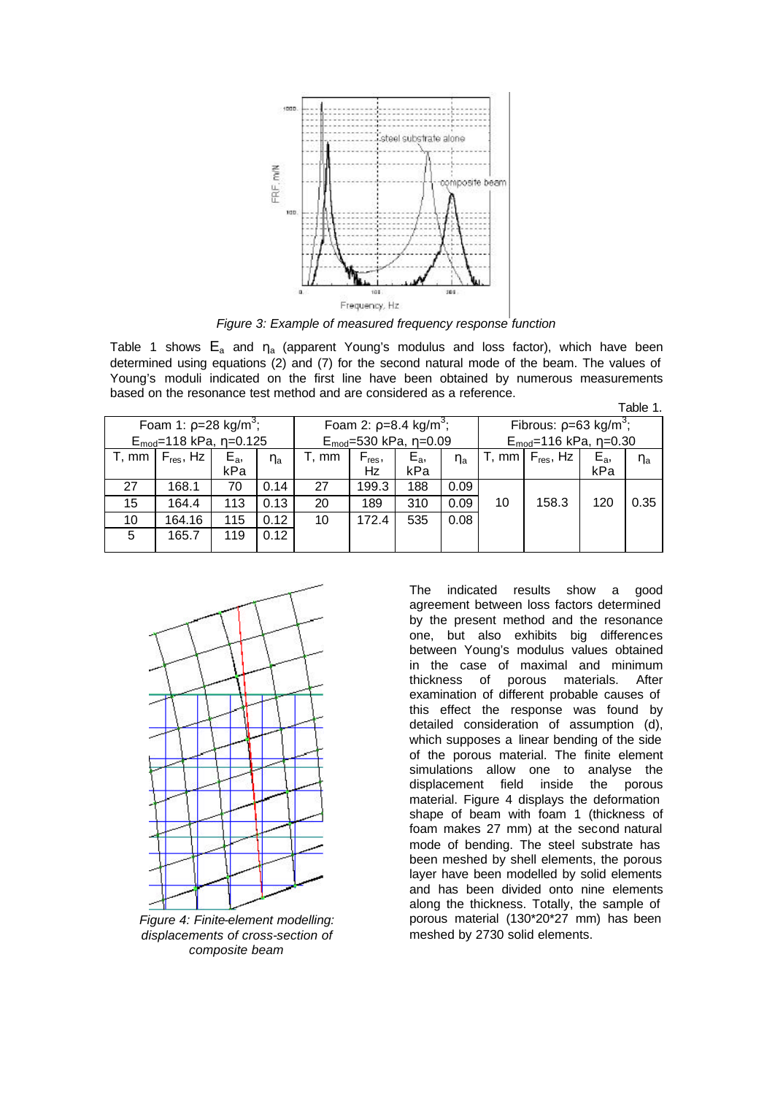

*Figure 3: Example of measured frequency response function*

Table 1 shows  $E_a$  and  $\eta_a$  (apparent Young's modulus and loss factor), which have been determined using equations (2) and (7) for the second natural mode of the beam. The values of Young's moduli indicated on the first line have been obtained by numerous measurements based on the resonance test method and are considered as a reference. Table 1.

| Foam 1: $p=28$ kg/m <sup>3</sup> ; |                |       |                                | Foam 2: $p=8.4 \text{ kg/m}^3$ ; |                              |                                  | Fibrous: $p=63$ kg/m <sup>3</sup> ; |    |                      |         |          |
|------------------------------------|----------------|-------|--------------------------------|----------------------------------|------------------------------|----------------------------------|-------------------------------------|----|----------------------|---------|----------|
| $E_{mod}=118$ kPa, $\eta=0.125$    |                |       | $E_{mod}=530$ kPa, $\eta=0.09$ |                                  |                              | $E_{mod}$ =116 kPa, $\eta$ =0.30 |                                     |    |                      |         |          |
| T, mm                              | $F_{res}$ , Hz | $E_a$ | $\eta_a$                       | T, mm                            | $\mathsf{F}_{\mathsf{res}},$ | $E_a$                            | $\eta_a$                            |    | T, mm $F_{res}$ , Hz | $E_{a}$ | $\eta_a$ |
|                                    |                | kPa   |                                |                                  | <b>Hz</b>                    | kPa                              |                                     |    |                      | kPa     |          |
| 27                                 | 168.1          | 70    | 0.14                           | 27                               | 199.3                        | 188                              | 0.09                                |    |                      |         |          |
| 15                                 | 164.4          | 113   | 0.13                           | 20                               | 189                          | 310                              | 0.09                                | 10 | 158.3                | 120     | 0.35     |
| 10                                 | 164.16         | 115   | 0.12                           | 10                               | 172.4                        | 535                              | 0.08                                |    |                      |         |          |
| 5                                  | 165.7          | 119   | 0.12                           |                                  |                              |                                  |                                     |    |                      |         |          |



*Figure 4: Finite-element modelling: displacements of cross-section of composite beam*

The indicated results show a good agreement between loss factors determined by the present method and the resonance one, but also exhibits big differences between Young's modulus values obtained in the case of maximal and minimum thickness of porous materials. After examination of different probable causes of this effect the response was found by detailed consideration of assumption (d), which supposes a linear bending of the side of the porous material. The finite element simulations allow one to analyse the displacement field inside the porous material. Figure 4 displays the deformation shape of beam with foam 1 (thickness of foam makes 27 mm) at the second natural mode of bending. The steel substrate has been meshed by shell elements, the porous layer have been modelled by solid elements and has been divided onto nine elements along the thickness. Totally, the sample of porous material (130\*20\*27 mm) has been meshed by 2730 solid elements.